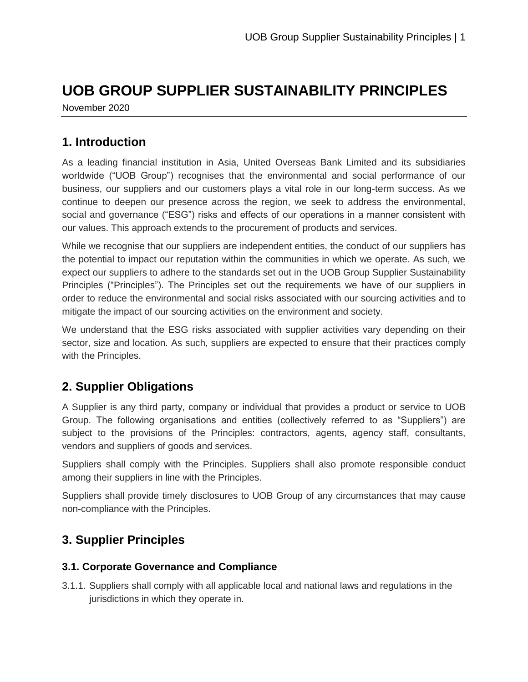# **UOB GROUP SUPPLIER SUSTAINABILITY PRINCIPLES**

November 2020

## **1. Introduction**

As a leading financial institution in Asia, United Overseas Bank Limited and its subsidiaries worldwide ("UOB Group") recognises that the environmental and social performance of our business, our suppliers and our customers plays a vital role in our long-term success. As we continue to deepen our presence across the region, we seek to address the environmental, social and governance ("ESG") risks and effects of our operations in a manner consistent with our values. This approach extends to the procurement of products and services.

While we recognise that our suppliers are independent entities, the conduct of our suppliers has the potential to impact our reputation within the communities in which we operate. As such, we expect our suppliers to adhere to the standards set out in the UOB Group Supplier Sustainability Principles ("Principles"). The Principles set out the requirements we have of our suppliers in order to reduce the environmental and social risks associated with our sourcing activities and to mitigate the impact of our sourcing activities on the environment and society.

We understand that the ESG risks associated with supplier activities vary depending on their sector, size and location. As such, suppliers are expected to ensure that their practices comply with the Principles.

# **2. Supplier Obligations**

A Supplier is any third party, company or individual that provides a product or service to UOB Group. The following organisations and entities (collectively referred to as "Suppliers") are subject to the provisions of the Principles: contractors, agents, agency staff, consultants, vendors and suppliers of goods and services.

Suppliers shall comply with the Principles. Suppliers shall also promote responsible conduct among their suppliers in line with the Principles.

Suppliers shall provide timely disclosures to UOB Group of any circumstances that may cause non-compliance with the Principles.

# **3. Supplier Principles**

### **3.1. Corporate Governance and Compliance**

3.1.1. Suppliers shall comply with all applicable local and national laws and regulations in the jurisdictions in which they operate in.